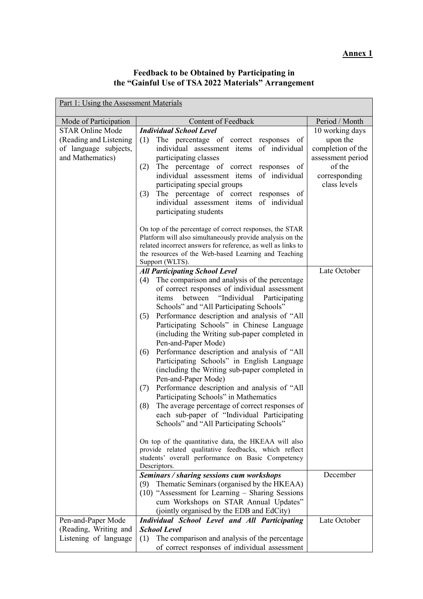## **Feedback to be Obtained by Participating in the "Gainful Use of TSA 2022 Materials" Arrangement**

| Part 1: Using the Assessment Materials |                                                                                                                      |                   |  |  |  |
|----------------------------------------|----------------------------------------------------------------------------------------------------------------------|-------------------|--|--|--|
| Mode of Participation                  | <b>Content of Feedback</b>                                                                                           | Period / Month    |  |  |  |
| <b>STAR Online Mode</b>                | <b>Individual School Level</b>                                                                                       | 10 working days   |  |  |  |
| (Reading and Listening)                | The percentage of correct responses of<br>(1)                                                                        | upon the          |  |  |  |
| of language subjects,                  | individual assessment items of individual                                                                            | completion of the |  |  |  |
| and Mathematics)                       | participating classes                                                                                                | assessment period |  |  |  |
|                                        | The percentage of correct responses of<br>(2)                                                                        | of the            |  |  |  |
|                                        | individual assessment items<br>of individual                                                                         | corresponding     |  |  |  |
|                                        | participating special groups<br>The percentage of correct responses of                                               | class levels      |  |  |  |
|                                        | (3)<br>individual assessment items<br>of individual                                                                  |                   |  |  |  |
|                                        | participating students                                                                                               |                   |  |  |  |
|                                        |                                                                                                                      |                   |  |  |  |
|                                        | On top of the percentage of correct responses, the STAR<br>Platform will also simultaneously provide analysis on the |                   |  |  |  |
|                                        | related incorrect answers for reference, as well as links to                                                         |                   |  |  |  |
|                                        | the resources of the Web-based Learning and Teaching                                                                 |                   |  |  |  |
|                                        | Support (WLTS).                                                                                                      |                   |  |  |  |
|                                        | <b>All Participating School Level</b>                                                                                | Late October      |  |  |  |
|                                        | The comparison and analysis of the percentage<br>(4)                                                                 |                   |  |  |  |
|                                        | of correct responses of individual assessment                                                                        |                   |  |  |  |
|                                        | "Individual<br>between<br>Participating<br>items                                                                     |                   |  |  |  |
|                                        | Schools" and "All Participating Schools"                                                                             |                   |  |  |  |
|                                        | Performance description and analysis of "All<br>(5)<br>Participating Schools" in Chinese Language                    |                   |  |  |  |
|                                        | (including the Writing sub-paper completed in                                                                        |                   |  |  |  |
|                                        | Pen-and-Paper Mode)                                                                                                  |                   |  |  |  |
|                                        | Performance description and analysis of "All<br>(6)                                                                  |                   |  |  |  |
|                                        | Participating Schools" in English Language                                                                           |                   |  |  |  |
|                                        | (including the Writing sub-paper completed in                                                                        |                   |  |  |  |
|                                        | Pen-and-Paper Mode)                                                                                                  |                   |  |  |  |
|                                        | Performance description and analysis of "All<br>(7)                                                                  |                   |  |  |  |
|                                        | Participating Schools" in Mathematics                                                                                |                   |  |  |  |
|                                        | The average percentage of correct responses of<br>(8)                                                                |                   |  |  |  |
|                                        | each sub-paper of "Individual Participating<br>Schools" and "All Participating Schools"                              |                   |  |  |  |
|                                        |                                                                                                                      |                   |  |  |  |
|                                        | On top of the quantitative data, the HKEAA will also                                                                 |                   |  |  |  |
|                                        | provide related qualitative feedbacks, which reflect                                                                 |                   |  |  |  |
|                                        | students' overall performance on Basic Competency                                                                    |                   |  |  |  |
|                                        | Descriptors.                                                                                                         | December          |  |  |  |
|                                        | Seminars / sharing sessions cum workshops<br>(9) Thematic Seminars (organised by the HKEAA)                          |                   |  |  |  |
|                                        | $(10)$ "Assessment for Learning – Sharing Sessions                                                                   |                   |  |  |  |
|                                        | cum Workshops on STAR Annual Updates"                                                                                |                   |  |  |  |
|                                        | (jointly organised by the EDB and EdCity)                                                                            |                   |  |  |  |
| Pen-and-Paper Mode                     | <b>Individual School Level and All Participating</b>                                                                 | Late October      |  |  |  |
| (Reading, Writing and                  | <b>School Level</b>                                                                                                  |                   |  |  |  |
| Listening of language                  | The comparison and analysis of the percentage<br>(1)                                                                 |                   |  |  |  |
|                                        | of correct responses of individual assessment                                                                        |                   |  |  |  |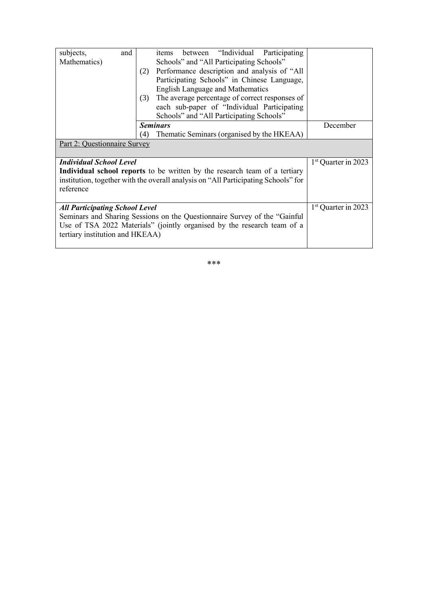| subjects,<br>and                                                                   |     | between "Individual Participating<br>items     |                                 |
|------------------------------------------------------------------------------------|-----|------------------------------------------------|---------------------------------|
| Mathematics)                                                                       |     | Schools" and "All Participating Schools"       |                                 |
|                                                                                    | (2) | Performance description and analysis of "All   |                                 |
|                                                                                    |     | Participating Schools" in Chinese Language,    |                                 |
|                                                                                    |     | <b>English Language and Mathematics</b>        |                                 |
|                                                                                    | (3) | The average percentage of correct responses of |                                 |
|                                                                                    |     | each sub-paper of "Individual Participating    |                                 |
|                                                                                    |     | Schools" and "All Participating Schools"       |                                 |
|                                                                                    |     | <b>Seminars</b>                                | December                        |
|                                                                                    | (4) | Thematic Seminars (organised by the HKEAA)     |                                 |
| Part 2: Questionnaire Survey                                                       |     |                                                |                                 |
|                                                                                    |     |                                                |                                 |
| <b>Individual School Level</b>                                                     |     |                                                | 1 <sup>st</sup> Quarter in 2023 |
| Individual school reports to be written by the research team of a tertiary         |     |                                                |                                 |
| institution, together with the overall analysis on "All Participating Schools" for |     |                                                |                                 |
| reference                                                                          |     |                                                |                                 |
|                                                                                    |     |                                                |                                 |
| <b>All Participating School Level</b>                                              |     |                                                | 1 <sup>st</sup> Quarter in 2023 |
| Seminars and Sharing Sessions on the Questionnaire Survey of the "Gainful"         |     |                                                |                                 |
| Use of TSA 2022 Materials" (jointly organised by the research team of a            |     |                                                |                                 |
| tertiary institution and HKEAA)                                                    |     |                                                |                                 |
|                                                                                    |     |                                                |                                 |
|                                                                                    |     |                                                |                                 |

\*\*\*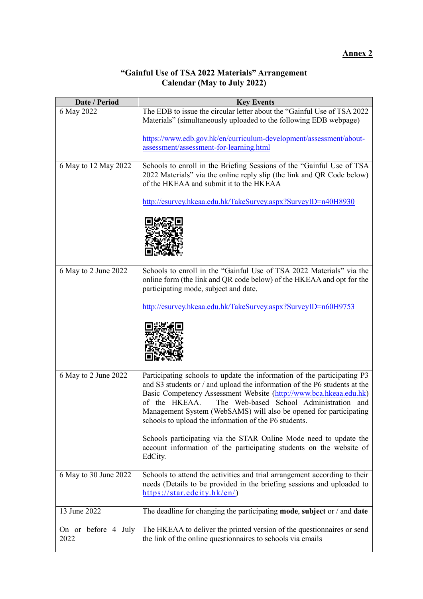# **Annex 2**

#### **"Gainful Use of TSA 2022 Materials" Arrangement Calendar (May to July 2022)**

| Date / Period               | <b>Key Events</b>                                                                                                                                                                                                                                                                                                                                                                                                   |
|-----------------------------|---------------------------------------------------------------------------------------------------------------------------------------------------------------------------------------------------------------------------------------------------------------------------------------------------------------------------------------------------------------------------------------------------------------------|
| 6 May 2022                  | The EDB to issue the circular letter about the "Gainful Use of TSA 2022<br>Materials" (simultaneously uploaded to the following EDB webpage)                                                                                                                                                                                                                                                                        |
|                             | https://www.edb.gov.hk/en/curriculum-development/assessment/about-<br>assessment/assessment-for-learning.html                                                                                                                                                                                                                                                                                                       |
| 6 May to 12 May 2022        | Schools to enroll in the Briefing Sessions of the "Gainful Use of TSA<br>2022 Materials" via the online reply slip (the link and QR Code below)<br>of the HKEAA and submit it to the HKEAA                                                                                                                                                                                                                          |
|                             | http://esurvey.hkeaa.edu.hk/TakeSurvey.aspx?SurveyID=n40H8930                                                                                                                                                                                                                                                                                                                                                       |
|                             |                                                                                                                                                                                                                                                                                                                                                                                                                     |
| 6 May to 2 June 2022        | Schools to enroll in the "Gainful Use of TSA 2022 Materials" via the<br>online form (the link and QR code below) of the HKEAA and opt for the<br>participating mode, subject and date.                                                                                                                                                                                                                              |
|                             | http://esurvey.hkeaa.edu.hk/TakeSurvey.aspx?SurveyID=n60H9753                                                                                                                                                                                                                                                                                                                                                       |
|                             |                                                                                                                                                                                                                                                                                                                                                                                                                     |
| 6 May to 2 June 2022        | Participating schools to update the information of the participating P3<br>and S3 students or / and upload the information of the P6 students at the<br>Basic Competency Assessment Website (http://www.bca.hkeaa.edu.hk)<br>The Web-based School Administration and<br>of the HKEAA.<br>Management System (WebSAMS) will also be opened for participating<br>schools to upload the information of the P6 students. |
|                             | Schools participating via the STAR Online Mode need to update the<br>account information of the participating students on the website of<br>EdCity.                                                                                                                                                                                                                                                                 |
| 6 May to 30 June 2022       | Schools to attend the activities and trial arrangement according to their<br>needs (Details to be provided in the briefing sessions and uploaded to<br>https://star.edcity.hk/en/)                                                                                                                                                                                                                                  |
| 13 June 2022                | The deadline for changing the participating mode, subject or $/$ and date                                                                                                                                                                                                                                                                                                                                           |
| On or before 4 July<br>2022 | The HKEAA to deliver the printed version of the questionnaires or send<br>the link of the online questionnaires to schools via emails                                                                                                                                                                                                                                                                               |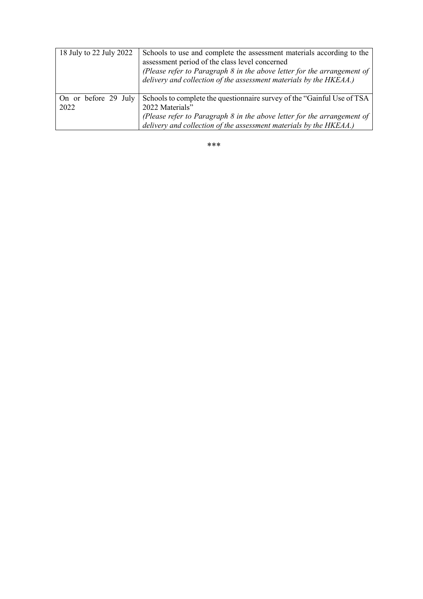| 18 July to 22 July 2022      | Schools to use and complete the assessment materials according to the<br>assessment period of the class level concerned<br>(Please refer to Paragraph 8 in the above letter for the arrangement of<br>delivery and collection of the assessment materials by the HKEAA.) |
|------------------------------|--------------------------------------------------------------------------------------------------------------------------------------------------------------------------------------------------------------------------------------------------------------------------|
| On or before 29 July<br>2022 | Schools to complete the questionnaire survey of the "Gainful Use of TSA<br>2022 Materials"<br>(Please refer to Paragraph 8 in the above letter for the arrangement of<br>delivery and collection of the assessment materials by the HKEAA.)                              |

\*\*\*